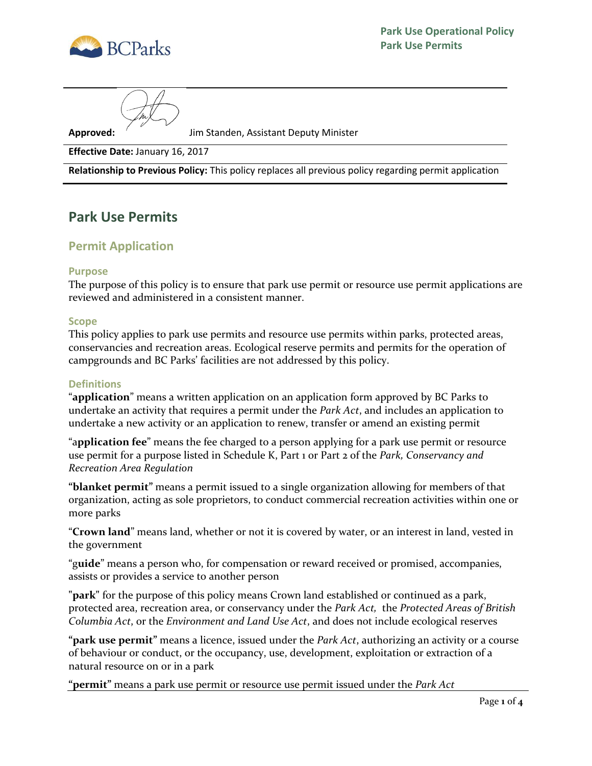

**Approved:** Jim Standen, Assistant Deputy Minister

**Effective Date:** January 16, 2017

**Relationship to Previous Policy:** This policy replaces all previous policy regarding permit application

# **Park Use Permits**

# **Permit Application**

### **Purpose**

The purpose of this policy is to ensure that park use permit or resource use permit applications are reviewed and administered in a consistent manner.

#### **Scope**

This policy applies to park use permits and resource use permits within parks, protected areas, conservancies and recreation areas. Ecological reserve permits and permits for the operation of campgrounds and BC Parks' facilities are not addressed by this policy.

### **Definitions**

"**application**" means a written application on an application form approved by BC Parks to undertake an activity that requires a permit under the *Park Act*, and includes an application to undertake a new activity or an application to renew, transfer or amend an existing permit

"a**pplication fee**" means the fee charged to a person applying for a park use permit or resource use permit for a purpose listed in Schedule K, Part 1 or Part 2 of the *Park, Conservancy and Recreation Area Regulation*

**"blanket permit"** means a permit issued to a single organization allowing for members of that organization, acting as sole proprietors, to conduct commercial recreation activities within one or more parks

"**Crown land**" means land, whether or not it is covered by water, or an interest in land, vested in the government

"g**uide**" means a person who, for compensation or reward received or promised, accompanies, assists or provides a service to another person

**"park"** for the purpose of this policy means Crown land established or continued as a park, protected area, recreation area, or conservancy under the *Park Act,* the *Protected Areas of British Columbia Act*, or the *Environment and Land Use Act*, and does not include ecological reserves

**"park use permit"** means a licence, issued under the *Park Act*, authorizing an activity or a course of behaviour or conduct, or the occupancy, use, development, exploitation or extraction of a natural resource on or in a park

**"permit"** means a park use permit or resource use permit issued under the *Park Act*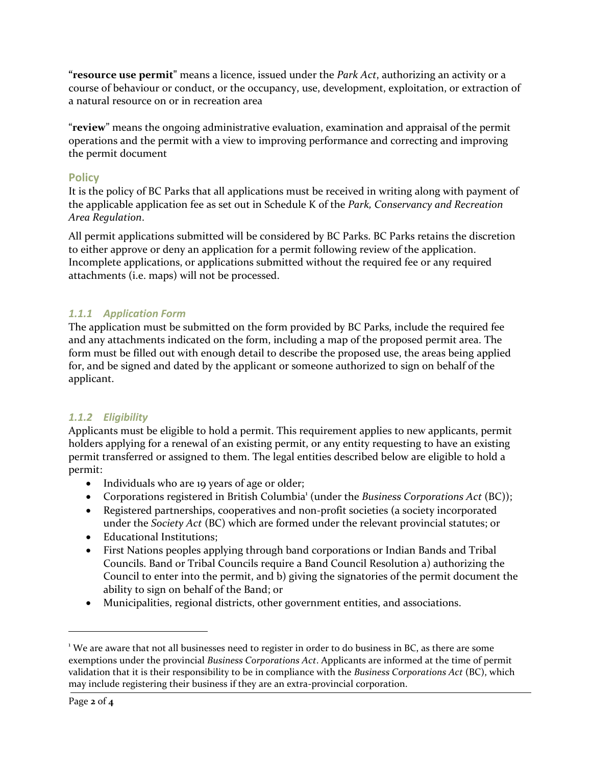**"resource use permit"** means a licence, issued under the *Park Act*, authorizing an activity or a course of behaviour or conduct, or the occupancy, use, development, exploitation, or extraction of a natural resource on or in recreation area

"**review**" means the ongoing administrative evaluation, examination and appraisal of the permit operations and the permit with a view to improving performance and correcting and improving the permit document

# **Policy**

It is the policy of BC Parks that all applications must be received in writing along with payment of the applicable application fee as set out in Schedule K of the *Park, Conservancy and Recreation Area Regulation*.

All permit applications submitted will be considered by BC Parks. BC Parks retains the discretion to either approve or deny an application for a permit following review of the application. Incomplete applications, or applications submitted without the required fee or any required attachments (i.e. maps) will not be processed.

# *1.1.1 Application Form*

The application must be submitted on the form provided by BC Parks, include the required fee and any attachments indicated on the form, including a map of the proposed permit area. The form must be filled out with enough detail to describe the proposed use, the areas being applied for, and be signed and dated by the applicant or someone authorized to sign on behalf of the applicant.

# *1.1.2 Eligibility*

Applicants must be eligible to hold a permit. This requirement applies to new applicants, permit holders applying for a renewal of an existing permit, or any entity requesting to have an existing permit transferred or assigned to them. The legal entities described below are eligible to hold a permit:

- Individuals who are 19 years of age or older;
- Corporations registered in British Columbia<sup>1</sup> (under the *Business Corporations Act* (BC));
- Registered partnerships, cooperatives and non-profit societies (a society incorporated under the *Society Act* (BC) which are formed under the relevant provincial statutes; or
- Educational Institutions;
- First Nations peoples applying through band corporations or Indian Bands and Tribal Councils. Band or Tribal Councils require a Band Council Resolution a) authorizing the Council to enter into the permit, and b) giving the signatories of the permit document the ability to sign on behalf of the Band; or
- Municipalities, regional districts, other government entities, and associations.

 $\overline{a}$ 

 $1$  We are aware that not all businesses need to register in order to do business in BC, as there are some exemptions under the provincial *Business Corporations Act*. Applicants are informed at the time of permit validation that it is their responsibility to be in compliance with the *Business Corporations Act* (BC), which may include registering their business if they are an extra-provincial corporation.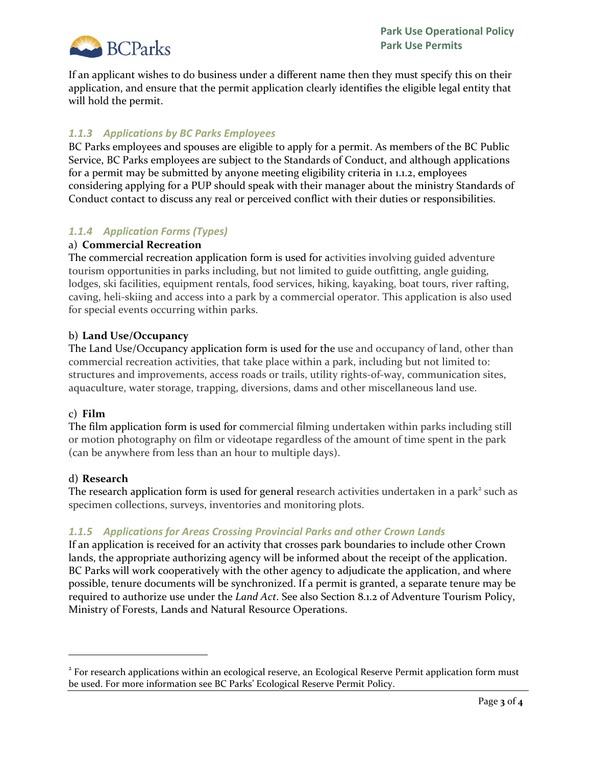

If an applicant wishes to do business under a different name then they must specify this on their application, and ensure that the permit application clearly identifies the eligible legal entity that will hold the permit.

# *1.1.3 Applications by BC Parks Employees*

BC Parks employees and spouses are eligible to apply for a permit. As members of the BC Public Service, BC Parks employees are subject to the Standards of Conduct, and although applications for a permit may be submitted by anyone meeting eligibility criteria in 1.1.2, employees considering applying for a PUP should speak with their manager about the ministry Standards of Conduct contact to discuss any real or perceived conflict with their duties or responsibilities.

# *1.1.4 Application Forms (Types)*

## a) **Commercial Recreation**

The commercial recreation application form is used for activities involving guided adventure tourism opportunities in parks including, but not limited to guide outfitting, angle guiding, lodges, ski facilities, equipment rentals, food services, hiking, kayaking, boat tours, river rafting, caving, heli-skiing and access into a park by a commercial operator. This application is also used for special events occurring within parks.

## b) **Land Use/Occupancy**

The Land Use/Occupancy application form is used for the use and occupancy of land, other than commercial recreation activities, that take place within a park, including but not limited to: structures and improvements, access roads or trails, utility rights-of-way, communication sites, aquaculture, water storage, trapping, diversions, dams and other miscellaneous land use.

### c) **Film**

The film application form is used for commercial filming undertaken within parks including still or motion photography on film or videotape regardless of the amount of time spent in the park (can be anywhere from less than an hour to multiple days).

### d) **Research**

 $\overline{a}$ 

The research application form is used for general research activities undertaken in a park<sup>2</sup> such as specimen collections, surveys, inventories and monitoring plots.

# *1.1.5 Applications for Areas Crossing Provincial Parks and other Crown Lands*

If an application is received for an activity that crosses park boundaries to include other Crown lands, the appropriate authorizing agency will be informed about the receipt of the application. BC Parks will work cooperatively with the other agency to adjudicate the application, and where possible, tenure documents will be synchronized. If a permit is granted, a separate tenure may be required to authorize use under the *Land Act*. See also Section 8.1.2 of Adventure Tourism Policy, Ministry of Forests, Lands and Natural Resource Operations.

<sup>&</sup>lt;sup>2</sup> For research applications within an ecological reserve, an Ecological Reserve Permit application form must be used. For more information see BC Parks' Ecological Reserve Permit Policy.